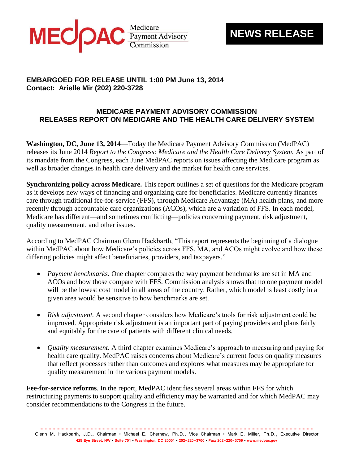

## **NEWS RELEASE**

## **EMBARGOED FOR RELEASE UNTIL 1:00 PM June 13, 2014 Contact: Arielle Mir (202) 220-3728**

## **MEDICARE PAYMENT ADVISORY COMMISSION RELEASES REPORT ON MEDICARE AND THE HEALTH CARE DELIVERY SYSTEM**

**Washington, DC, June 13, 2014**—Today the Medicare Payment Advisory Commission (MedPAC) releases its June 2014 *Report to the Congress: Medicare and the Health Care Delivery System.* As part of its mandate from the Congress, each June MedPAC reports on issues affecting the Medicare program as well as broader changes in health care delivery and the market for health care services.

**Synchronizing policy across Medicare.** This report outlines a set of questions for the Medicare program as it develops new ways of financing and organizing care for beneficiaries. Medicare currently finances care through traditional fee-for-service (FFS), through Medicare Advantage (MA) health plans, and more recently through accountable care organizations (ACOs), which are a variation of FFS. In each model, Medicare has different—and sometimes conflicting—policies concerning payment, risk adjustment, quality measurement, and other issues.

According to MedPAC Chairman Glenn Hackbarth, "This report represents the beginning of a dialogue within MedPAC about how Medicare's policies across FFS, MA, and ACOs might evolve and how these differing policies might affect beneficiaries, providers, and taxpayers."

- *Payment benchmarks.* One chapter compares the way payment benchmarks are set in MA and ACOs and how those compare with FFS. Commission analysis shows that no one payment model will be the lowest cost model in all areas of the country. Rather, which model is least costly in a given area would be sensitive to how benchmarks are set.
- *Risk adjustment.* A second chapter considers how Medicare's tools for risk adjustment could be improved. Appropriate risk adjustment is an important part of paying providers and plans fairly and equitably for the care of patients with different clinical needs.
- *Quality measurement.* A third chapter examines Medicare's approach to measuring and paying for health care quality. MedPAC raises concerns about Medicare's current focus on quality measures that reflect processes rather than outcomes and explores what measures may be appropriate for quality measurement in the various payment models.

**Fee-for-service reforms**. In the report, MedPAC identifies several areas within FFS for which restructuring payments to support quality and efficiency may be warranted and for which MedPAC may consider recommendations to the Congress in the future.